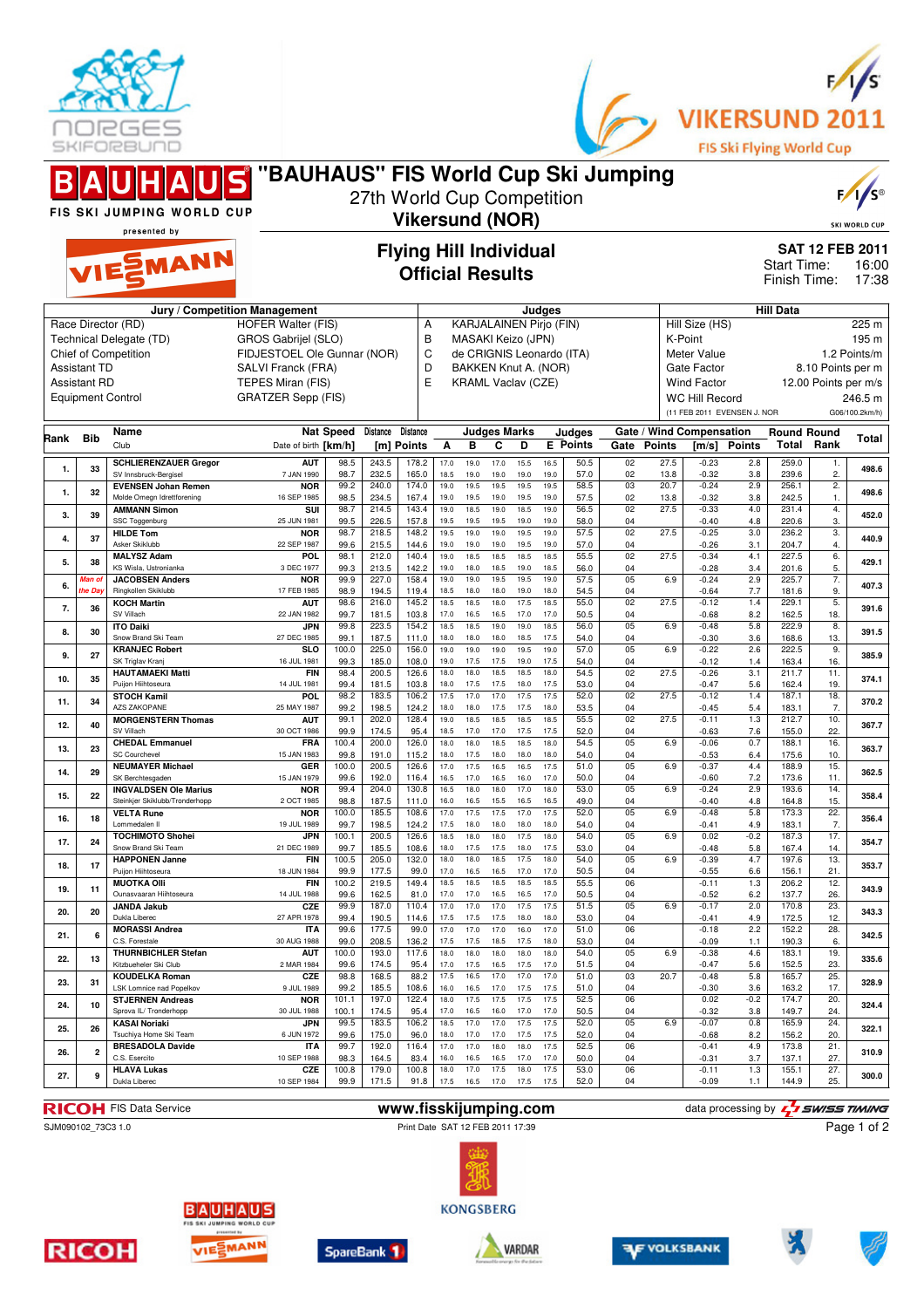



|          |                          | <b>BAUHAUS</b><br>FIS SKI JUMPING WORLD CUP                    | "BAUHAUS" FIS World Cup Ski Jumping                |                  | 27th World Cup Competition |                               |              |                                                 |                                                                                    |              |              |                           |                      |               |                                   |               |                             |                                                                         | $F/I/S^{\circ}$<br><b>SKI WORLD CUP</b> |  |
|----------|--------------------------|----------------------------------------------------------------|----------------------------------------------------|------------------|----------------------------|-------------------------------|--------------|-------------------------------------------------|------------------------------------------------------------------------------------|--------------|--------------|---------------------------|----------------------|---------------|-----------------------------------|---------------|-----------------------------|-------------------------------------------------------------------------|-----------------------------------------|--|
|          | presented by<br>VIESMANN |                                                                |                                                    |                  |                            |                               |              |                                                 | <b>Vikersund (NOR)</b><br><b>Flying Hill Individual</b><br><b>Official Results</b> |              |              |                           |                      |               |                                   |               |                             | <b>SAT 12 FEB 2011</b><br>Start Time:<br>16:00<br>Finish Time:<br>17:38 |                                         |  |
|          |                          |                                                                | Jury / Competition Management                      |                  |                            |                               |              |                                                 |                                                                                    |              | Judges       |                           |                      |               |                                   |               | <b>Hill Data</b>            |                                                                         |                                         |  |
|          |                          | Race Director (RD)                                             | <b>HOFER Walter (FIS)</b>                          |                  |                            | А                             |              | <b>KARJALAINEN Pirjo (FIN)</b>                  |                                                                                    |              |              |                           |                      |               | Hill Size (HS)                    |               |                             |                                                                         | 225 m                                   |  |
|          |                          | Technical Delegate (TD)<br>Chief of Competition                | GROS Gabrijel (SLO)<br>FIDJESTOEL Ole Gunnar (NOR) |                  |                            | B<br>C                        |              | MASAKI Keizo (JPN)<br>de CRIGNIS Leonardo (ITA) |                                                                                    |              |              |                           |                      |               | K-Point<br>Meter Value            |               |                             |                                                                         | 195 m<br>1.2 Points/m                   |  |
|          | <b>Assistant TD</b>      |                                                                | SALVI Franck (FRA)                                 |                  |                            | D                             |              | BAKKEN Knut A. (NOR)                            |                                                                                    |              |              |                           |                      |               | Gate Factor                       |               |                             | 8.10 Points per m                                                       |                                         |  |
|          | <b>Assistant RD</b>      |                                                                | TEPES Miran (FIS)                                  |                  |                            | E                             |              | <b>KRAML Vaclav (CZE)</b>                       |                                                                                    |              |              |                           |                      |               | <b>Wind Factor</b>                |               |                             | 12.00 Points per m/s                                                    |                                         |  |
|          |                          | <b>Equipment Control</b>                                       | <b>GRATZER Sepp (FIS)</b>                          |                  |                            |                               |              |                                                 |                                                                                    |              |              |                           |                      |               | <b>WC Hill Record</b>             |               |                             |                                                                         | 246.5 m                                 |  |
|          |                          |                                                                |                                                    |                  |                            |                               |              |                                                 |                                                                                    |              |              |                           |                      |               | (11 FEB 2011 EVENSEN J. NOR       |               |                             |                                                                         | G06/100.2km/h)                          |  |
| Rank Bib |                          | Name<br>Club                                                   | Date of birth [km/h]                               | <b>Nat Speed</b> | Distance                   | <b>Distance</b><br>[m] Points | Α            | в                                               | <b>Judges Marks</b><br>C                                                           | D            |              | Judges<br><b>E</b> Points | Gate                 | <b>Points</b> | Gate / Wind Compensation<br>[m/s] | <b>Points</b> | <b>Round Round</b><br>Total | Rank                                                                    | Total                                   |  |
| 1.       | 33                       | <b>SCHLIERENZAUER Gregor</b>                                   | <b>AUT</b>                                         | 98.5             | 243.5                      | 178.2                         | 17.0         | 19.0                                            | 17.0                                                                               | 15.5         | 16.5         | 50.5                      | 02                   | 27.5          | $-0.23$                           | 2.8           | 259.0                       | 1.                                                                      | 498.6                                   |  |
|          |                          | SV Innsbruck-Bergisel<br><b>EVENSEN Johan Remen</b>            | 7 JAN 1990<br><b>NOR</b>                           | 98.7<br>99.2     | 232.5<br>240.0             | 165.0<br>174.0                | 18.5<br>19.0 | 19.0<br>19.5                                    | 19.0<br>19.5                                                                       | 19.0<br>19.5 | 19.0<br>19.5 | 57.0<br>58.5              | 02<br>03             | 13.8<br>20.7  | $-0.32$<br>$-0.24$                | 3.8<br>2.9    | 239.6<br>256.1              | 2.<br>$\overline{2}$ .                                                  |                                         |  |
| 1.       | 32                       | Molde Omegn Idrettforening                                     | 16 SEP 1985                                        | 98.5             | 234.5                      | 167.4                         | 19.0         | 19.5                                            | 19.0                                                                               | 19.5         | 19.0         | 57.5                      | 02                   | 13.8          | $-0.32$                           | 3.8           | 242.5                       | 1.                                                                      | 498.6                                   |  |
| 3.       | 39                       | <b>AMMANN Simon</b><br>SSC Toggenburg                          | SUI<br>25 JUN 1981                                 | 98.7<br>99.5     | 214.5<br>226.5             | 143.4<br>157.8                | 19.0<br>19.5 | 18.5<br>19.5                                    | 19.0<br>19.5                                                                       | 18.5<br>19.0 | 19.0<br>19.0 | 56.5<br>58.0              | 02<br>04             | 27.5          | $-0.33$<br>$-0.40$                | 4.0<br>4.8    | 231.4<br>220.6              | 4.<br>3.                                                                | 452.0                                   |  |
| 4.       | 37                       | <b>HILDE Tom</b>                                               | <b>NOR</b>                                         | 98.7             | 218.5                      | 148.2                         | 19.5         | 19.0                                            | 19.0                                                                               | 19.5         | 19.0         | 57.5                      | 02                   | 27.5          | $-0.25$                           | 3.0           | 236.2                       | $\overline{3}$ .                                                        | 440.9                                   |  |
|          |                          | Asker Skiklubb<br><b>MALYSZ Adam</b>                           | 22 SEP 1987<br>POL                                 | 99.6<br>98.1     | 215.5<br>212.0             | 144.6<br>140.4                | 19.0<br>19.0 | 19.0<br>18.5                                    | 19.0<br>18.5                                                                       | 19.5<br>18.5 | 19.0<br>18.5 | 57.0<br>55.5              | 04<br>02             | 27.5          | $-0.26$<br>$-0.34$                | 3.1<br>4.1    | 204.7<br>227.5              | 4.<br>6.                                                                |                                         |  |
| 5.       | 38                       | KS Wisla, Ustronianka<br><b>JACOBSEN Anders</b>                | 3 DEC 1977<br><b>NOR</b>                           | 99.3<br>99.9     | 213.5<br>227.0             | 142.2<br>158.4                | 19.0<br>19.0 | 18.0<br>19.0                                    | 18.5<br>19.5                                                                       | 19.0<br>19.5 | 18.5<br>19.0 | 56.0<br>57.5              | 04<br>05             | 6.9           | $-0.28$<br>$-0.24$                | 3.4<br>2.9    | 201.6<br>225.7              | 5.<br>7.                                                                | 429.1                                   |  |
| 6.       | Man o<br>'he Da          | Ringkollen Skiklubb                                            | 17 FEB 1985                                        | 98.9             | 194.5                      | 119.4                         | 18.5         | 18.0                                            | 18.0                                                                               | 19.0         | 18.0         | 54.5                      | 04                   |               | $-0.64$                           | 7.7           | 181.6                       | 9.                                                                      | 407.3                                   |  |
| 7.       | 36                       | <b>KOCH Martin</b><br>SV Villach                               | <b>AUT</b><br>22 JAN 1982                          | 98.6<br>99.7     | 216.0<br>181.5             | 145.2<br>103.8                | 18.5<br>17.0 | 18.5<br>16.5                                    | 18.0<br>16.5                                                                       | 17.5<br>17.0 | 18.5<br>17.0 | 55.0<br>50.5              | 02<br>04             | 27.5          | $-0.12$<br>$-0.68$                | 1.4<br>8.2    | 229.1<br>162.5              | 5.<br>18.                                                               | 391.6                                   |  |
| 8.       | 30                       | <b>ITO Daiki</b>                                               | JPN                                                | 99.8             | 223.5                      | 154.2                         | 18.5         | 18.5                                            | 19.0                                                                               | 19.0         | 18.5         | 56.0                      | 05                   | 6.9           | $-0.48$                           | 5.8           | 222.9                       | 8.                                                                      | 391.5                                   |  |
|          |                          | Snow Brand Ski Team<br><b>KRANJEC Robert</b>                   | 27 DEC 1985<br><b>SLO</b>                          | 99.1<br>100.0    | 187.5<br>225.0             | 111.0<br>156.0                | 18.0<br>19.0 | 18.0<br>19.0                                    | 18.0<br>19.0                                                                       | 18.5<br>19.5 | 17.5<br>19.0 | 54.0<br>57.0              | 04<br>05             | 6.9           | $-0.30$<br>$-0.22$                | 3.6<br>2.6    | 168.6<br>222.5              | 13.<br>9.                                                               |                                         |  |
| 9.       | 27                       | SK Triglav Kranj                                               | 16 JUL 1981                                        | 99.3             | 185.0                      | 108.0                         | 19.0         | 17.5                                            | 17.5                                                                               | 19.0         | 17.5         | 54.0                      | 04                   |               | $-0.12$                           | 1.4           | 163.4                       | 16.                                                                     | 385.9                                   |  |
| 10.      | 35                       | <b>HAUTAMAEKI Matti</b><br>Puijon Hiihtoseura                  | <b>FIN</b><br>14 JUL 1981                          | 98.4<br>99.4     | 200.5<br>181.5             | 126.6<br>103.8                | 18.0<br>18.0 | 18.0<br>17.5                                    | 18.5<br>17.5                                                                       | 18.5<br>18.0 | 18.0<br>17.5 | 54.5<br>53.0              | 02<br>04             | 27.5          | $-0.26$<br>$-0.47$                | 3.1<br>5.6    | 211.7<br>162.4              | 11.<br>19.                                                              | 374.1                                   |  |
| 11.      | 34                       | <b>STOCH Kamil</b><br><b>AZS ZAKOPANE</b>                      | POL<br>25 MAY 1987                                 | 98.2<br>99.2     | 183.5<br>198.5             | 106.2<br>124.2                | 17.5<br>18.0 | 17.0<br>18.0                                    | 17.0<br>17.5                                                                       | 17.5<br>17.5 | 17.5<br>18.0 | 52.0<br>53.5              | 02<br>04             | 27.5          | $-0.12$<br>$-0.45$                | 1.4<br>5.4    | 187.1<br>183.1              | 18.<br>7.                                                               | 370.2                                   |  |
| 12.      | 40                       | <b>MORGENSTERN Thomas</b>                                      | <b>AUT</b>                                         | 99.1             | 202.0                      | 128.4                         | 19.0         | 18.5                                            | 18.5                                                                               | 18.5         | 18.5         | 55.5                      | 02                   | 27.5          | $-0.11$                           | 1.3           | 212.7                       | 10.                                                                     | 367.7                                   |  |
|          |                          | SV Villach<br><b>CHEDAL Emmanuel</b>                           | 30 OCT 1986<br><b>FRA</b>                          | 99.9<br>100.4    | 174.5<br>200.0             | 95.4<br>126.0                 | 18.5<br>18.0 | 17.0<br>18.0                                    | 17.0<br>18.5                                                                       | 17.5<br>18.5 | 17.5<br>18.0 | 52.0<br>54.5              | 04<br>05             | 6.9           | $-0.63$<br>$-0.06$                | 7.6<br>0.7    | 155.0<br>188.1              | 22.<br>16.                                                              |                                         |  |
| 13.      | 23                       | <b>SC Courchevel</b>                                           | 15 JAN 1983                                        | 99.8             | 191.0                      | 115.2                         | 18.0         | 17.5                                            | 18.0                                                                               | 18.0         | 18.0         | 54.0                      | 04                   |               | $-0.53$                           | 6.4           | 175.6                       | 10.                                                                     | 363.7                                   |  |
| 14.      | 29                       | <b>NEUMAYER Michael</b><br>SK Berchtesgaden                    | GER<br>15 JAN 1979                                 | 100.0<br>99.6    | 200.5<br>192.0             | 126.6<br>116.4                | 17.0<br>16.5 | 17.5<br>17.0                                    | 16.5<br>16.5                                                                       | 16.5<br>16.0 | 17.5<br>17.0 | 51.0<br>50.0              | 05<br>04             | 6.9           | $-0.37$<br>$-0.60$                | 4.4<br>7.2    | 188.9<br>173.6              | 15.<br>11.                                                              | 362.5                                   |  |
| 15.      | 22                       | <b>INGVALDSEN Ole Marius</b><br>Steinkjer Skiklubb/Tronderhopp | <b>NOR</b>                                         | 99.4             | 204.0                      | 130.8                         | 16.5         | 18.0                                            | 18.0                                                                               | 17.0         | 18.0         | 53.0                      | 05                   | 6.9           | $-0.24$                           | 2.9           | 193.6                       | 14.                                                                     | 358.4                                   |  |
| 16.      | 18                       | <b>VELTA Rune</b>                                              | 2 OCT 1985<br><b>NOR</b>                           | 98.8<br>100.0    | 187.5<br>185.5             | 111.0<br>108.6                | 16.0<br>17.0 | 16.5<br>17.5                                    | 15.5<br>17.5                                                                       | 16.5<br>17.0 | 16.5<br>17.5 | 49.0<br>52.0              | 04<br>05             | 6.9           | $-0.40$<br>$-0.48$                | 4.8<br>5.8    | 164.8<br>173.3              | 15.<br>22.                                                              | 356.4                                   |  |
|          |                          | Lommedalen II<br><b>TOCHIMOTO Shohei</b>                       | 19 JUL 1989<br>JPN                                 | 99.7<br>100.1    | 198.5<br>200.5             | 124.2<br>126.6                | 17.5<br>18.5 | 18.0<br>18.0                                    | 18.0<br>18.0                                                                       | 18.0<br>17.5 | 18.0<br>18.0 | 54.0<br>54.0              | 04<br>05             | 6.9           | $-0.41$<br>0.02                   | 4.9<br>$-0.2$ | 183.1<br>187.3              | 7.<br>17.                                                               |                                         |  |
| 17.      | 24                       | Snow Brand Ski Team                                            | 21 DEC 1989                                        | 99.7             | 185.5                      | 108.6                         | 18.0         | 17.5                                            | 17.5                                                                               | 18.0         | 17.5         | 53.0                      | 04                   |               | $-0.48$                           | 5.8           | 167.4                       | 14.                                                                     | 354.7                                   |  |
| 18.      | 17                       | <b>HAPPONEN Janne</b><br>Puijon Hiihtoseura                    | <b>FIN</b><br>18 JUN 1984                          | 100.5<br>99.9    | 205.0<br>177.5             | 132.0<br>99.0                 | 18.0<br>17.0 | 18.0<br>16.5                                    | 18.5<br>16.5                                                                       | 17.5<br>17.0 | 18.0<br>17.0 | 54.0<br>50.5              | 0 <sub>5</sub><br>04 | 6.9           | $-0.39$<br>$-0.55$                | 4.7<br>6.6    | 197.6<br>156.1              | 13.<br>21.                                                              | 353.7                                   |  |
| 19.      | 11                       | <b>MUOTKA Olli</b>                                             | FIN                                                | 100.2            | 219.5                      | 149.4                         | 18.5         | 18.5                                            | 18.5                                                                               | 18.5         | 18.5         | 55.5                      | 06                   |               | $-0.11$                           | 1.3           | 206.2                       | 12.                                                                     | 343.9                                   |  |
|          |                          | Ounasvaaran Hiihtoseura<br>JANDA Jakub                         | 14 JUL 1988<br>CZE                                 | 99.6<br>99.9     | 162.5<br>187.0             | 81.0<br>110.4                 | 17.0<br>17.0 | 17.0<br>17.0                                    | 16.5<br>17.0                                                                       | 16.5<br>17.5 | 17.0<br>17.5 | 50.5<br>51.5              | 04<br>05             | 6.9           | $-0.52$<br>$-0.17$                | 6.2<br>2.0    | 137.7<br>170.8              | 26.<br>23.                                                              |                                         |  |
| 20.      | 20                       | Dukla Liberec<br><b>MORASSI Andrea</b>                         | 27 APR 1978                                        | 99.4<br>99.6     | 190.5<br>177.5             | 114.6<br>99.0                 | 17.5         | 17.5<br>17.0                                    | 17.5<br>17.0                                                                       | 18.0<br>16.0 | 18.0<br>17.0 | 53.0<br>51.0              | 04<br>06             |               | $-0.41$<br>$-0.18$                | 4.9<br>2.2    | 172.5<br>152.2              | 12.<br>28.                                                              | 343.3                                   |  |
| 21.      | 6                        | C.S. Forestale                                                 | <b>ITA</b><br>30 AUG 1988                          | 99.0             | 208.5                      | 136.2                         | 17.0<br>17.5 | 17.5                                            | 18.5                                                                               | 17.5         | 18.0         | 53.0                      | 04                   |               | $-0.09$                           | 1.1           | 190.3                       | 6.                                                                      | 342.5                                   |  |
| 22.      | 13                       | <b>THURNBICHLER Stefan</b><br>Kitzbueheler Ski Club            | <b>AUT</b><br>2 MAR 1984                           | 100.0<br>99.6    | 193.0<br>174.5             | 117.6<br>95.4                 | 18.0<br>17.0 | 18.0<br>17.5                                    | 18.0<br>16.5                                                                       | 18.0<br>17.5 | 18.0<br>17.0 | 54.0<br>51.5              | 05<br>04             | 6.9           | $-0.38$<br>$-0.47$                | 4.6<br>5.6    | 183.1<br>152.5              | 19.<br>23.                                                              | 335.6                                   |  |
| 23.      | 31                       | <b>KOUDELKA Roman</b>                                          | CZE                                                | 98.8             | 168.5                      | 88.2                          | 17.5         | 16.5                                            | 17.0                                                                               | 17.0         | 17.0         | 51.0                      | 03                   | 20.7          | $-0.48$                           | 5.8           | 165.7                       | 25.                                                                     | 328.9                                   |  |
|          |                          | LSK Lomnice nad Popelkov<br><b>STJERNEN Andreas</b>            | 9 JUL 1989<br><b>NOR</b>                           | 99.2<br>101.1    | 185.5<br>197.0             | 108.6<br>122.4                | 16.0<br>18.0 | 16.5<br>17.5                                    | 17.0<br>17.5                                                                       | 17.5<br>17.5 | 17.5<br>17.5 | 51.0<br>52.5              | 04<br>06             |               | $-0.30$<br>0.02                   | 3.6<br>$-0.2$ | 163.2<br>174.7              | 17.<br>20.                                                              |                                         |  |
| 24.      | 10                       | Sprova IL/ Tronderhopp                                         | 30 JUL 1988                                        | 100.1            | 174.5                      | 95.4                          | 17.0         | 16.5                                            | 16.0                                                                               | 17.0         | 17.0         | 50.5                      | 04                   |               | $-0.32$                           | 3.8           | 149.7                       | 24.                                                                     | 324.4                                   |  |
| 25.      | 26                       | <b>KASAI Noriaki</b><br>Tsuchiya Home Ski Team                 | JPN<br>6 JUN 1972                                  | 99.5<br>99.6     | 183.5<br>175.0             | 106.2<br>96.0                 | 18.5<br>18.0 | 17.0<br>17.0                                    | 17.0<br>17.0                                                                       | 17.5<br>17.5 | 17.5<br>17.5 | 52.0<br>52.0              | 05<br>04             | 6.9           | $-0.07$<br>$-0.68$                | 0.8<br>8.2    | 165.9<br>156.2              | 24.<br>20.                                                              | 322.1                                   |  |
| 26.      | $\overline{2}$           | <b>BRESADOLA Davide</b><br>C.S. Esercito                       | ITA<br>10 SEP 1988                                 | 99.7<br>98.3     | 192.0<br>164.5             | 116.4<br>83.4                 | 17.0<br>16.0 | 17.0<br>16.5                                    | 18.0<br>16.5                                                                       | 18.0<br>17.0 | 17.5<br>17.0 | 52.5<br>50.0              | 06<br>04             |               | $-0.41$<br>$-0.31$                | 4.9<br>3.7    | 173.8<br>137.1              | 21.<br>27.                                                              | 310.9                                   |  |
| 27.      | 9                        | <b>HLAVA Lukas</b>                                             | CZE                                                | 100.8            | 179.0                      | 100.8                         | 18.0         | 17.0                                            | 17.5                                                                               | 18.0         | 17.5         | 53.0                      | 06                   |               | $-0.11$                           | 1.3           | 155.1                       | 27.                                                                     | 300.0                                   |  |
|          |                          | Dukla Liberec                                                  | 10 SEP 1984                                        | 99.9             | 171.5                      | 91.8                          | 17.5         | 16.5                                            | 17.0                                                                               | 17.5         | 17.5         | 52.0                      | 04                   |               | $-0.09$                           | 1.1           | 144.9                       | 25.                                                                     |                                         |  |

**RICOH** FIS Data Service **www.fisskijumping.com** data processing by  $\frac{1}{2}$  SWISS TIMING SATION Date SAT 12 FEB 2011 17:39 Page 1 of 2

Print Date SAT 12 FEB 2011 17:39

**KONGSBERG** 

Page 1 of 2



VIESMANN











**RICOH**